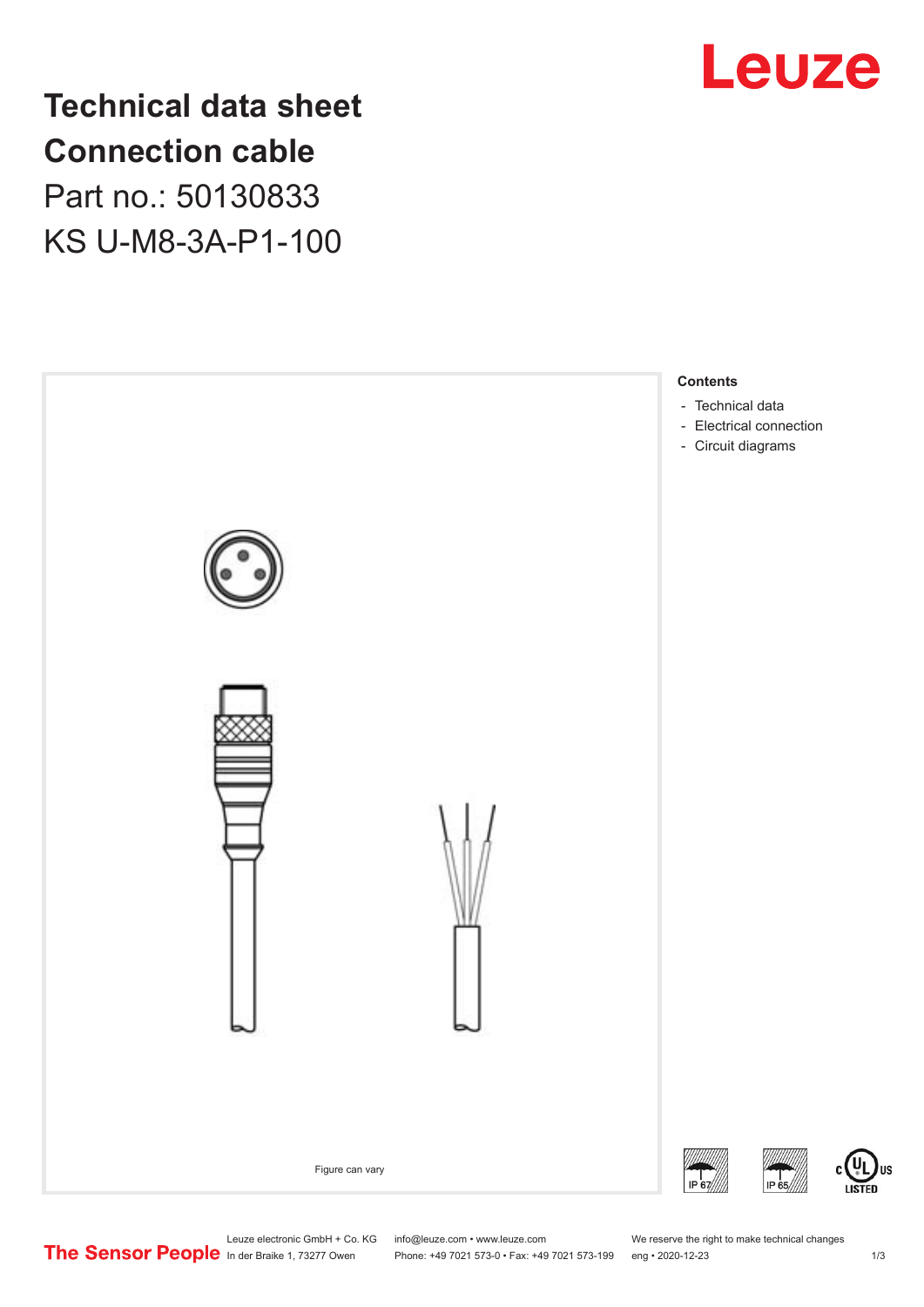

# **Technical data sheet Connection cable**

Part no.: 50130833 KS U-M8-3A-P1-100



US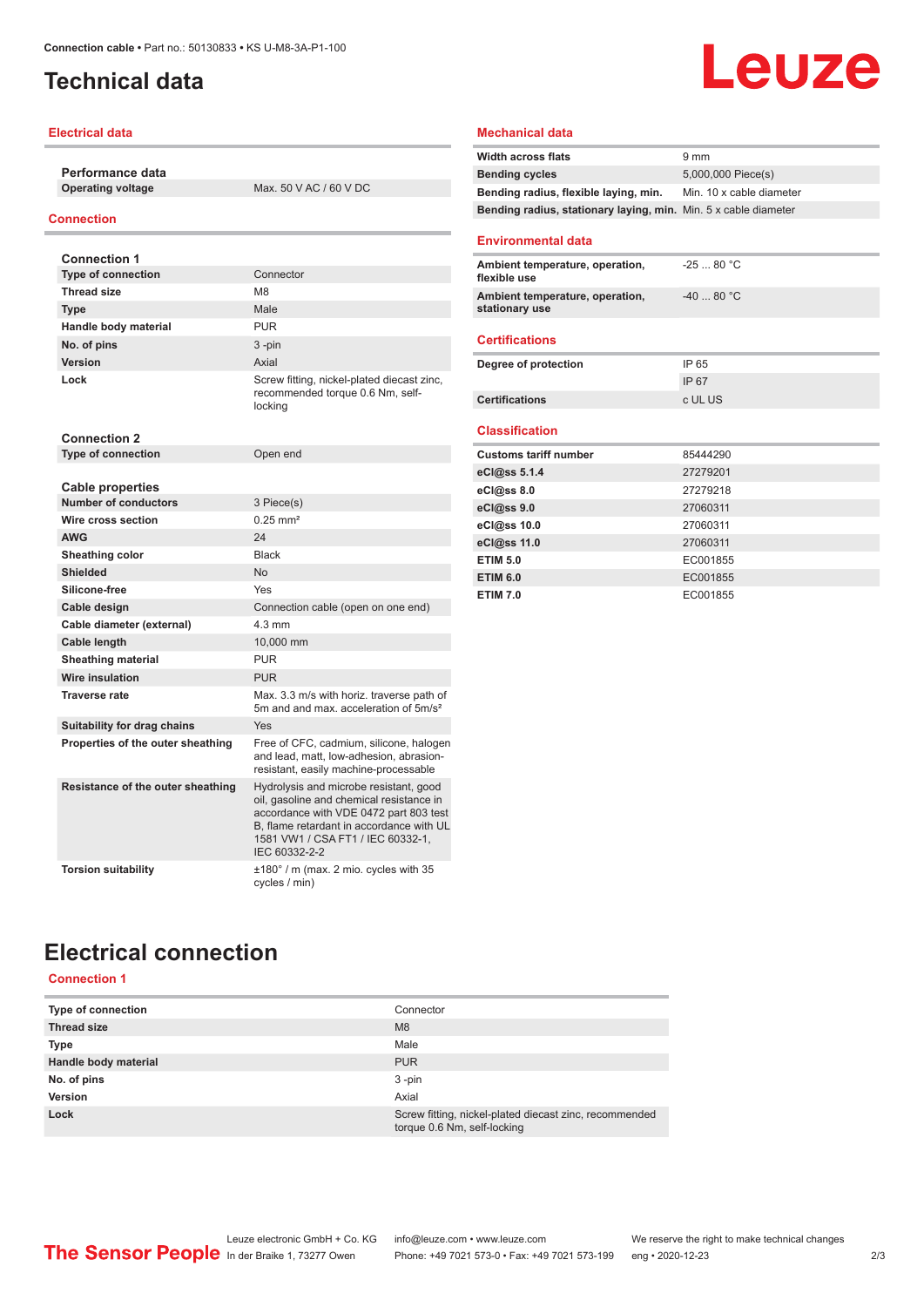## <span id="page-1-0"></span>**Technical data**

#### **Electrical data**

**Performance data**

**Max. 50 V AC / 60 V DC** 

### **Connection**

| <b>Connection 1</b>                                    |                                                                                                                                                                                                                                |
|--------------------------------------------------------|--------------------------------------------------------------------------------------------------------------------------------------------------------------------------------------------------------------------------------|
| <b>Type of connection</b>                              | Connector                                                                                                                                                                                                                      |
| <b>Thread size</b>                                     | M <sub>8</sub>                                                                                                                                                                                                                 |
| <b>Type</b>                                            | Male                                                                                                                                                                                                                           |
| Handle body material                                   | PUR                                                                                                                                                                                                                            |
| No. of pins                                            | $3 - pin$                                                                                                                                                                                                                      |
| <b>Version</b>                                         | Axial                                                                                                                                                                                                                          |
| Lock                                                   | Screw fitting, nickel-plated diecast zinc,<br>recommended torque 0.6 Nm, self-<br>locking                                                                                                                                      |
| <b>Connection 2</b>                                    |                                                                                                                                                                                                                                |
| <b>Type of connection</b>                              | Open end                                                                                                                                                                                                                       |
|                                                        |                                                                                                                                                                                                                                |
| <b>Cable properties</b><br><b>Number of conductors</b> |                                                                                                                                                                                                                                |
| Wire cross section                                     | 3 Piece(s)<br>$0.25$ mm <sup>2</sup>                                                                                                                                                                                           |
| <b>AWG</b>                                             | 24                                                                                                                                                                                                                             |
|                                                        |                                                                                                                                                                                                                                |
| Sheathing color                                        | <b>Black</b>                                                                                                                                                                                                                   |
| <b>Shielded</b>                                        | No                                                                                                                                                                                                                             |
| Silicone-free                                          | Yes                                                                                                                                                                                                                            |
| Cable design                                           | Connection cable (open on one end)                                                                                                                                                                                             |
| Cable diameter (external)                              | $4.3 \text{ mm}$                                                                                                                                                                                                               |
| Cable length                                           | 10,000 mm                                                                                                                                                                                                                      |
| <b>Sheathing material</b>                              | PUR                                                                                                                                                                                                                            |
| <b>Wire insulation</b>                                 | <b>PUR</b>                                                                                                                                                                                                                     |
| <b>Traverse rate</b>                                   | Max. 3.3 m/s with horiz. traverse path of<br>5m and and max, acceleration of 5m/s <sup>2</sup>                                                                                                                                 |
| Suitability for drag chains                            | Yes                                                                                                                                                                                                                            |
| Properties of the outer sheathing                      | Free of CFC, cadmium, silicone, halogen<br>and lead, matt, low-adhesion, abrasion-<br>resistant, easily machine-processable                                                                                                    |
| Resistance of the outer sheathing                      | Hydrolysis and microbe resistant, good<br>oil, gasoline and chemical resistance in<br>accordance with VDE 0472 part 803 test<br>B. flame retardant in accordance with UL<br>1581 VW1 / CSA FT1 / IEC 60332-1,<br>IEC 60332-2-2 |
| <b>Torsion suitability</b>                             | $\pm 180^\circ$ / m (max. 2 mio. cycles with 35<br>cycles / min)                                                                                                                                                               |

### **Mechanical data**

| <b>Width across flats</b>                                       | $9 \text{ mm}$           |
|-----------------------------------------------------------------|--------------------------|
| <b>Bending cycles</b>                                           | 5,000,000 Piece(s)       |
| Bending radius, flexible laying, min.                           | Min. 10 x cable diameter |
| Bending radius, stationary laying, min. Min. 5 x cable diameter |                          |
| <b>Environmental data</b>                                       |                          |
| Ambient temperature, operation,<br>flexible use                 | $-2580 °C$               |
| Ambient temperature, operation,<br>stationary use               | $-4080 °C$               |
| <b>Certifications</b>                                           |                          |
| Degree of protection                                            | IP 65                    |
|                                                                 | IP 67                    |
| <b>Certifications</b>                                           | c UL US                  |
| <b>Classification</b>                                           |                          |
| <b>Customs tariff number</b>                                    | 85444290                 |
| eCl@ss 5.1.4                                                    | 27279201                 |
| eCl@ss 8.0                                                      | 27279218                 |
| eCl@ss 9.0                                                      | 27060311                 |
| eCl@ss 10.0                                                     | 27060311                 |
| eCl@ss 11.0                                                     | 27060311                 |
| <b>ETIM 5.0</b>                                                 | EC001855                 |
| <b>ETIM 6.0</b>                                                 | EC001855                 |
| <b>ETIM 7.0</b>                                                 | EC001855                 |

Leuze

# **Electrical connection**

**Connection 1**

| <b>Type of connection</b> | Connector                                                                             |
|---------------------------|---------------------------------------------------------------------------------------|
| <b>Thread size</b>        | M <sub>8</sub>                                                                        |
| Type                      | Male                                                                                  |
| Handle body material      | <b>PUR</b>                                                                            |
| No. of pins               | $3 - pin$                                                                             |
| Version                   | Axial                                                                                 |
| Lock                      | Screw fitting, nickel-plated diecast zinc, recommended<br>torque 0.6 Nm, self-locking |